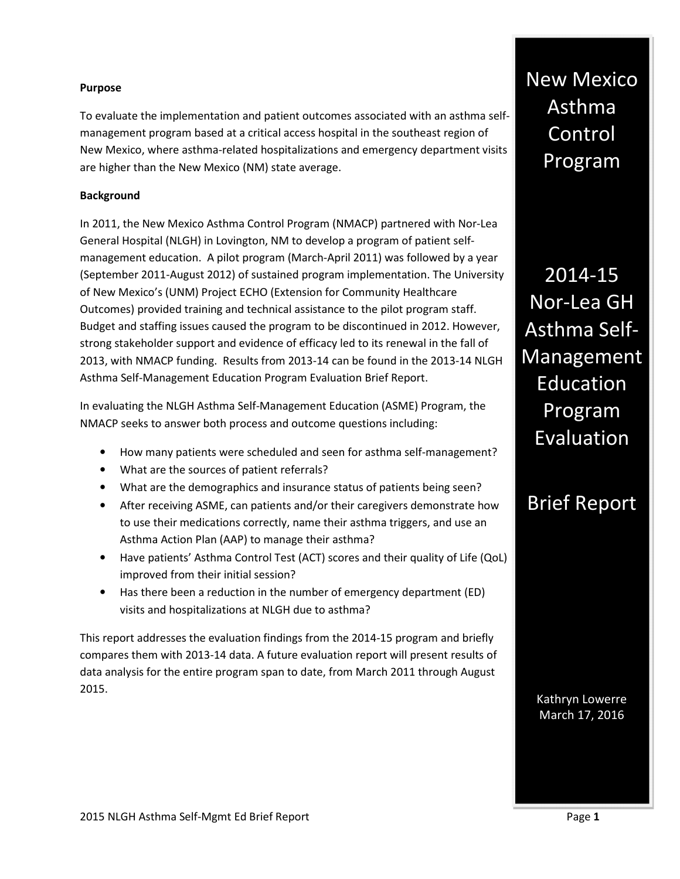#### **Purpose**

To evaluate the implementation and patient outcomes associated with an asthma selfmanagement program based at a critical access hospital in the southeast region of New Mexico, where asthma-related hospitalizations and emergency department visits are higher than the New Mexico (NM) state average.

#### **Background**

In 2011, the New Mexico Asthma Control Program (NMACP) partnered with Nor-Lea General Hospital (NLGH) in Lovington, NM to develop a program of patient selfmanagement education. A pilot program (March-April 2011) was followed by a year (September 2011-August 2012) of sustained program implementation. The University of New Mexico's (UNM) Project ECHO (Extension for Community Healthcare Outcomes) provided training and technical assistance to the pilot program staff. Budget and staffing issues caused the program to be discontinued in 2012. However, strong stakeholder support and evidence of efficacy led to its renewal in the fall of 2013, with NMACP funding. Results from 2013-14 can be found in the 2013-14 NLGH Asthma Self-Management Education Program Evaluation Brief Report.

In evaluating the NLGH Asthma Self-Management Education (ASME) Program, the NMACP seeks to answer both process and outcome questions including:

- How many patients were scheduled and seen for asthma self-management?
- What are the sources of patient referrals?
- What are the demographics and insurance status of patients being seen?
- After receiving ASME, can patients and/or their caregivers demonstrate how to use their medications correctly, name their asthma triggers, and use an Asthma Action Plan (AAP) to manage their asthma?
- Have patients' Asthma Control Test (ACT) scores and their quality of Life (QoL) improved from their initial session?
- Has there been a reduction in the number of emergency department (ED) visits and hospitalizations at NLGH due to asthma?

This report addresses the evaluation findings from the 2014-15 program and briefly compares them with 2013-14 data. A future evaluation report will present results of data analysis for the entire program span to date, from March 2011 through August 2015.

New Mexico Asthma Control Program

2014-15 Nor-Lea GH Asthma Self-Management Education Program Evaluation

# Brief Report

Kathryn Lowerre March 17, 2016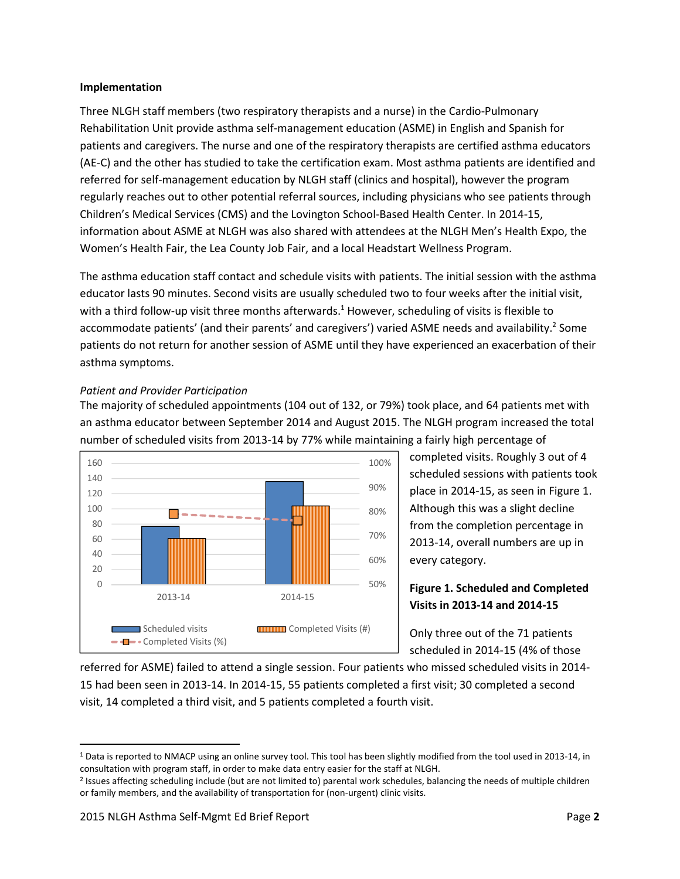#### **Implementation**

Three NLGH staff members (two respiratory therapists and a nurse) in the Cardio-Pulmonary Rehabilitation Unit provide asthma self-management education (ASME) in English and Spanish for patients and caregivers. The nurse and one of the respiratory therapists are certified asthma educators (AE-C) and the other has studied to take the certification exam. Most asthma patients are identified and referred for self-management education by NLGH staff (clinics and hospital), however the program regularly reaches out to other potential referral sources, including physicians who see patients through Children's Medical Services (CMS) and the Lovington School-Based Health Center. In 2014-15, information about ASME at NLGH was also shared with attendees at the NLGH Men's Health Expo, the Women's Health Fair, the Lea County Job Fair, and a local Headstart Wellness Program.

The asthma education staff contact and schedule visits with patients. The initial session with the asthma educator lasts 90 minutes. Second visits are usually scheduled two to four weeks after the initial visit, with a third follow-up visit three months afterwards.<sup>1</sup> However, scheduling of visits is flexible to accommodate patients' (and their parents' and caregivers') varied ASME needs and availability.<sup>2</sup> Some patients do not return for another session of ASME until they have experienced an exacerbation of their asthma symptoms.

#### *Patient and Provider Participation*

The majority of scheduled appointments (104 out of 132, or 79%) took place, and 64 patients met with an asthma educator between September 2014 and August 2015. The NLGH program increased the total number of scheduled visits from 2013-14 by 77% while maintaining a fairly high percentage of



completed visits. Roughly 3 out of 4 scheduled sessions with patients took place in 2014-15, as seen in Figure 1. Although this was a slight decline from the completion percentage in 2013-14, overall numbers are up in every category.

# **Figure 1. Scheduled and Completed Visits in 2013-14 and 2014-15**

Only three out of the 71 patients scheduled in 2014-15 (4% of those

referred for ASME) failed to attend a single session. Four patients who missed scheduled visits in 2014- 15 had been seen in 2013-14. In 2014-15, 55 patients completed a first visit; 30 completed a second visit, 14 completed a third visit, and 5 patients completed a fourth visit.

 $\overline{a}$ 

<sup>&</sup>lt;sup>1</sup> Data is reported to NMACP using an online survey tool. This tool has been slightly modified from the tool used in 2013-14, in consultation with program staff, in order to make data entry easier for the staff at NLGH.

<sup>&</sup>lt;sup>2</sup> Issues affecting scheduling include (but are not limited to) parental work schedules, balancing the needs of multiple children or family members, and the availability of transportation for (non-urgent) clinic visits.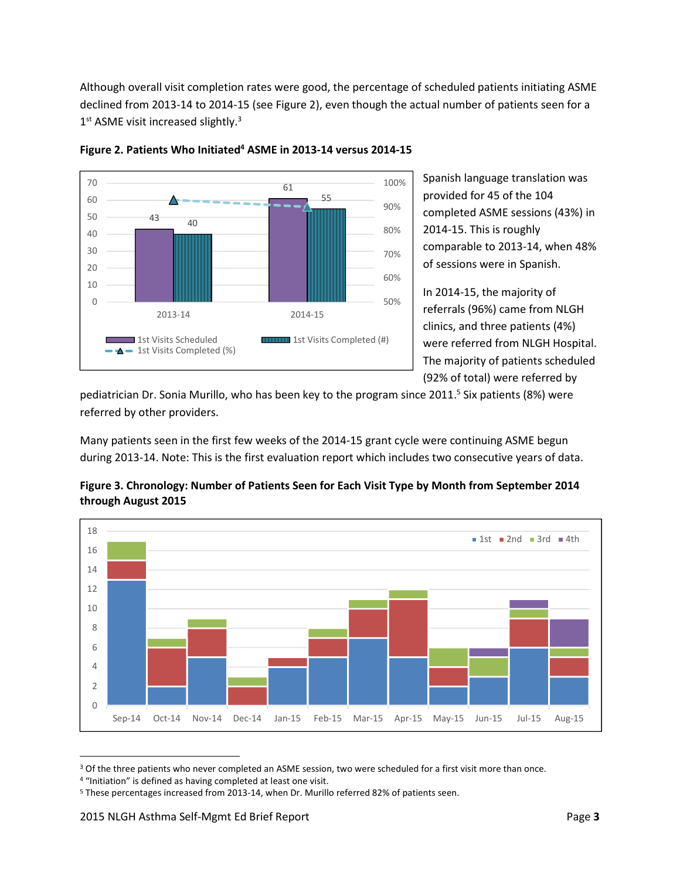Although overall visit completion rates were good, the percentage of scheduled patients initiating ASME declined from 2013-14 to 2014-15 (see Figure 2), even though the actual number of patients seen for a 1st ASME visit increased slightly.<sup>3</sup>



**Figure 2. Patients Who Initiated<sup>4</sup> ASME in 2013-14 versus 2014-15** 

Spanish language translation was provided for 45 of the 104 completed ASME sessions (43%) in 2014-15. This is roughly comparable to 2013-14, when 48% of sessions were in Spanish.

In 2014-15, the majority of referrals (96%) came from NLGH clinics, and three patients (4%) were referred from NLGH Hospital. The majority of patients scheduled (92% of total) were referred by

pediatrician Dr. Sonia Murillo, who has been key to the program since 2011.<sup>5</sup> Six patients (8%) were referred by other providers.

Many patients seen in the first few weeks of the 2014-15 grant cycle were continuing ASME begun during 2013-14. Note: This is the first evaluation report which includes two consecutive years of data.



**Figure 3. Chronology: Number of Patients Seen for Each Visit Type by Month from September 2014 through August 2015** 

 $\overline{a}$ 

<sup>&</sup>lt;sup>3</sup> Of the three patients who never completed an ASME session, two were scheduled for a first visit more than once.

<sup>&</sup>lt;sup>4</sup> "Initiation" is defined as having completed at least one visit.

<sup>5</sup> These percentages increased from 2013-14, when Dr. Murillo referred 82% of patients seen.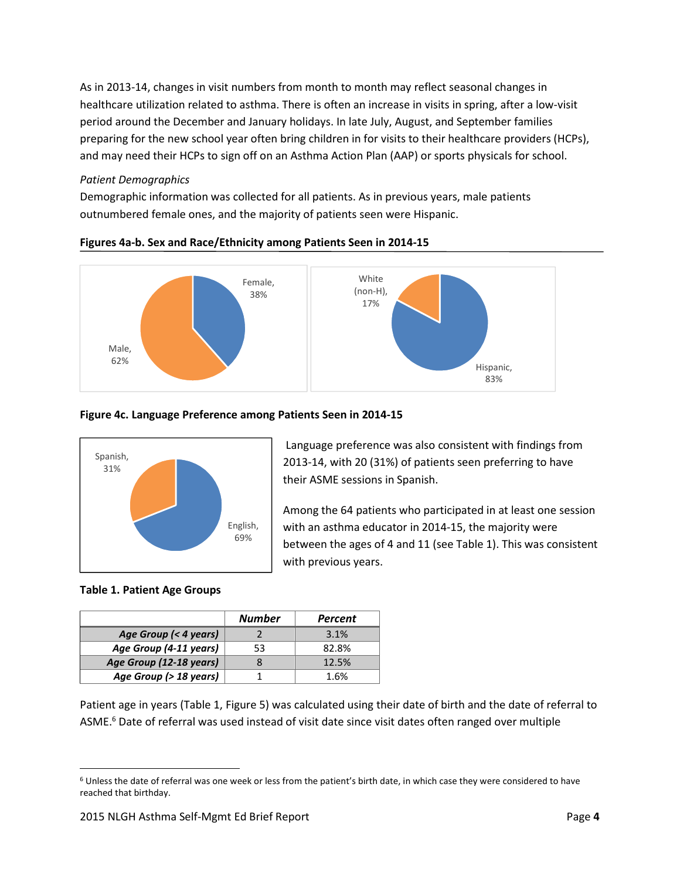As in 2013-14, changes in visit numbers from month to month may reflect seasonal changes in healthcare utilization related to asthma. There is often an increase in visits in spring, after a low-visit period around the December and January holidays. In late July, August, and September families preparing for the new school year often bring children in for visits to their healthcare providers (HCPs), and may need their HCPs to sign off on an Asthma Action Plan (AAP) or sports physicals for school.

#### *Patient Demographics*

Demographic information was collected for all patients. As in previous years, male patients outnumbered female ones, and the majority of patients seen were Hispanic.



#### **Figures 4a-b. Sex and Race/Ethnicity among Patients Seen in 2014-15**

# **Figure 4c. Language Preference among Patients Seen in 2014-15**



 Language preference was also consistent with findings from 2013-14, with 20 (31%) of patients seen preferring to have their ASME sessions in Spanish.

Among the 64 patients who participated in at least one session with an asthma educator in 2014-15, the majority were between the ages of 4 and 11 (see Table 1). This was consistent with previous years.

# **Table 1. Patient Age Groups**

.<br>-

|                         | <b>Number</b> | <b>Percent</b> |
|-------------------------|---------------|----------------|
| Age Group (< 4 years)   |               | 3.1%           |
| Age Group (4-11 years)  | 53            | 82.8%          |
| Age Group (12-18 years) |               | 12.5%          |
| Age Group (> 18 years)  |               | 1.6%           |

Patient age in years (Table 1, Figure 5) was calculated using their date of birth and the date of referral to ASME.<sup>6</sup> Date of referral was used instead of visit date since visit dates often ranged over multiple

<sup>&</sup>lt;sup>6</sup> Unless the date of referral was one week or less from the patient's birth date, in which case they were considered to have reached that birthday.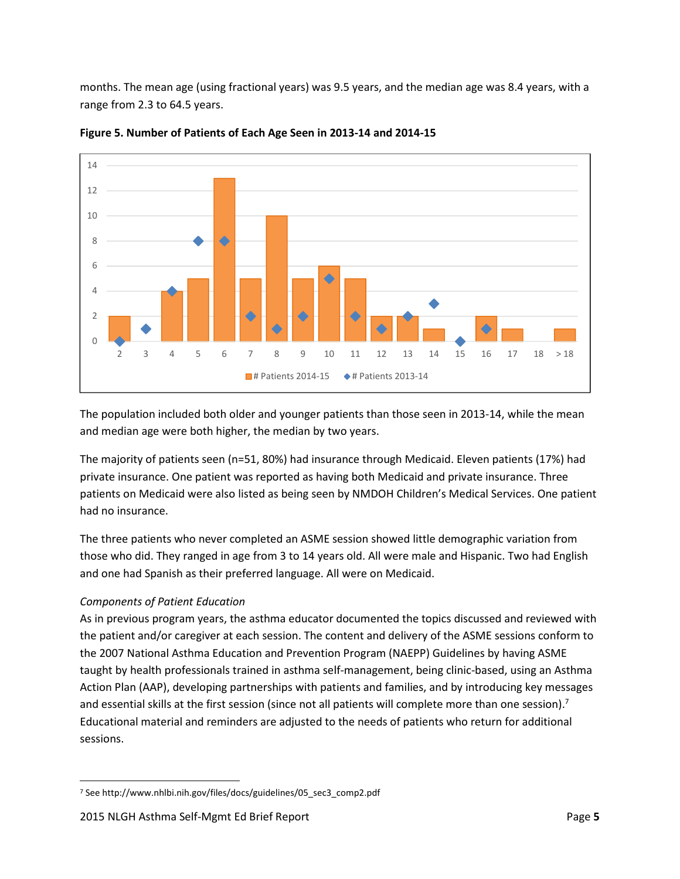months. The mean age (using fractional years) was 9.5 years, and the median age was 8.4 years, with a range from 2.3 to 64.5 years.



**Figure 5. Number of Patients of Each Age Seen in 2013-14 and 2014-15** 

The population included both older and younger patients than those seen in 2013-14, while the mean and median age were both higher, the median by two years.

The majority of patients seen (n=51, 80%) had insurance through Medicaid. Eleven patients (17%) had private insurance. One patient was reported as having both Medicaid and private insurance. Three patients on Medicaid were also listed as being seen by NMDOH Children's Medical Services. One patient had no insurance.

The three patients who never completed an ASME session showed little demographic variation from those who did. They ranged in age from 3 to 14 years old. All were male and Hispanic. Two had English and one had Spanish as their preferred language. All were on Medicaid.

# *Components of Patient Education*

 $\overline{a}$ 

As in previous program years, the asthma educator documented the topics discussed and reviewed with the patient and/or caregiver at each session. The content and delivery of the ASME sessions conform to the 2007 National Asthma Education and Prevention Program (NAEPP) Guidelines by having ASME taught by health professionals trained in asthma self-management, being clinic-based, using an Asthma Action Plan (AAP), developing partnerships with patients and families, and by introducing key messages and essential skills at the first session (since not all patients will complete more than one session).<sup>7</sup> Educational material and reminders are adjusted to the needs of patients who return for additional sessions.

<sup>7</sup> See http://www.nhlbi.nih.gov/files/docs/guidelines/05\_sec3\_comp2.pdf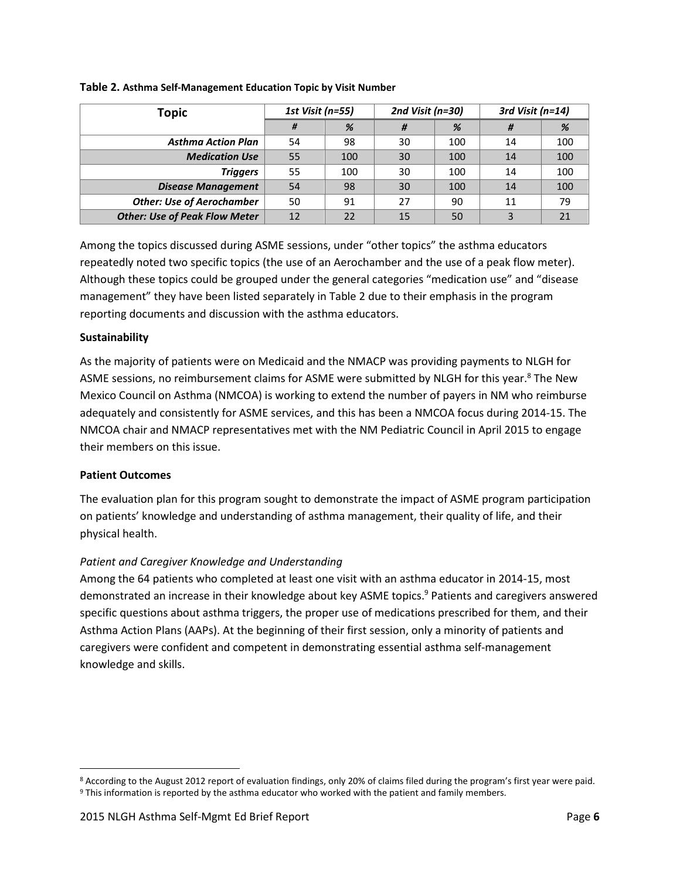| <b>Topic</b>                         | 1st Visit (n=55) |     | 2nd Visit ( $n=30$ ) |     | 3rd Visit ( $n=14$ ) |     |
|--------------------------------------|------------------|-----|----------------------|-----|----------------------|-----|
|                                      | #                | %   | #                    | %   | #                    | %   |
| <b>Asthma Action Plan</b>            | 54               | 98  | 30                   | 100 | 14                   | 100 |
| <b>Medication Use</b>                | 55               | 100 | 30                   | 100 | 14                   | 100 |
| <b>Triggers</b>                      | 55               | 100 | 30                   | 100 | 14                   | 100 |
| <b>Disease Management</b>            | 54               | 98  | 30                   | 100 | 14                   | 100 |
| <b>Other: Use of Aerochamber</b>     | 50               | 91  | 27                   | 90  | 11                   | 79  |
| <b>Other: Use of Peak Flow Meter</b> | 12               | 22  | 15                   | 50  |                      |     |

#### **Table 2. Asthma Self-Management Education Topic by Visit Number**

Among the topics discussed during ASME sessions, under "other topics" the asthma educators repeatedly noted two specific topics (the use of an Aerochamber and the use of a peak flow meter). Although these topics could be grouped under the general categories "medication use" and "disease management" they have been listed separately in Table 2 due to their emphasis in the program reporting documents and discussion with the asthma educators.

#### **Sustainability**

As the majority of patients were on Medicaid and the NMACP was providing payments to NLGH for ASME sessions, no reimbursement claims for ASME were submitted by NLGH for this year.<sup>8</sup> The New Mexico Council on Asthma (NMCOA) is working to extend the number of payers in NM who reimburse adequately and consistently for ASME services, and this has been a NMCOA focus during 2014-15. The NMCOA chair and NMACP representatives met with the NM Pediatric Council in April 2015 to engage their members on this issue.

# **Patient Outcomes**

 $\overline{\phantom{0}}$ 

The evaluation plan for this program sought to demonstrate the impact of ASME program participation on patients' knowledge and understanding of asthma management, their quality of life, and their physical health.

# *Patient and Caregiver Knowledge and Understanding*

Among the 64 patients who completed at least one visit with an asthma educator in 2014-15, most demonstrated an increase in their knowledge about key ASME topics.<sup>9</sup> Patients and caregivers answered specific questions about asthma triggers, the proper use of medications prescribed for them, and their Asthma Action Plans (AAPs). At the beginning of their first session, only a minority of patients and caregivers were confident and competent in demonstrating essential asthma self-management knowledge and skills.

<sup>&</sup>lt;sup>8</sup> According to the August 2012 report of evaluation findings, only 20% of claims filed during the program's first year were paid. 9 This information is reported by the asthma educator who worked with the patient and family members.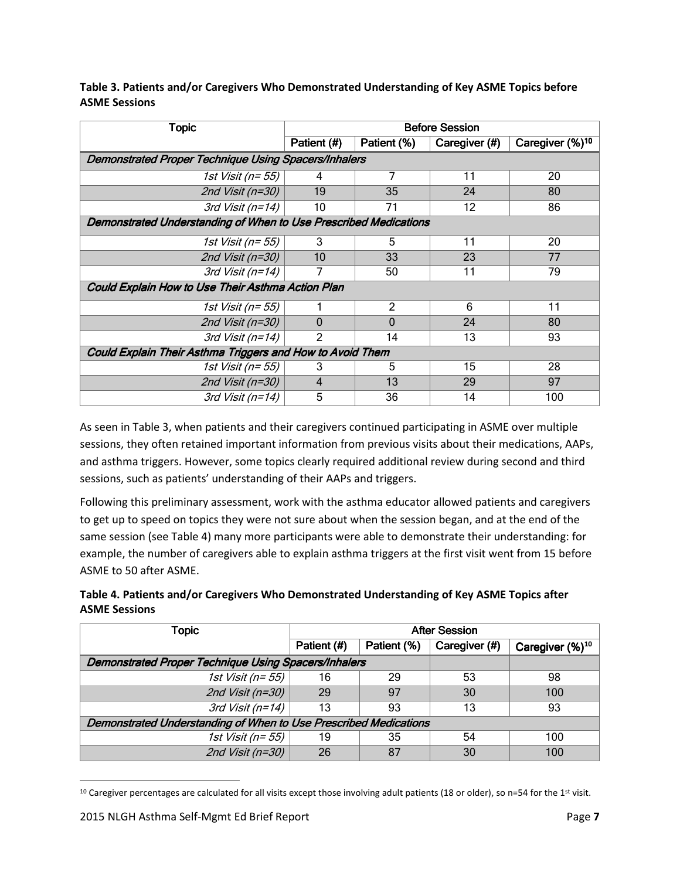| <b>Topic</b>                                                     | <b>Before Session</b>                                       |                |               |                             |  |
|------------------------------------------------------------------|-------------------------------------------------------------|----------------|---------------|-----------------------------|--|
|                                                                  | Patient (#)                                                 | Patient (%)    | Caregiver (#) | Caregiver (%) <sup>10</sup> |  |
|                                                                  | <b>Demonstrated Proper Technique Using Spacers/Inhalers</b> |                |               |                             |  |
| 1st Visit (n= 55)                                                | 4                                                           | 7              | 11            | 20                          |  |
| 2nd Visit (n=30)                                                 | 19                                                          | 35             | 24            | 80                          |  |
| 3rd Visit ( $n=14$ )                                             | 10                                                          | 71             | 12            | 86                          |  |
| Demonstrated Understanding of When to Use Prescribed Medications |                                                             |                |               |                             |  |
| 1st Visit (n= 55)                                                | 3                                                           | 5              | 11            | 20                          |  |
| 2nd Visit (n=30)                                                 | 10                                                          | 33             | 23            | 77                          |  |
| 3rd Visit (n=14)                                                 |                                                             | 50             | 11            | 79                          |  |
| Could Explain How to Use Their Asthma Action Plan                |                                                             |                |               |                             |  |
| <i>1st Visit (n= 55)</i>                                         | 1                                                           | $\overline{2}$ | 6             | 11                          |  |
| 2nd Visit (n=30)                                                 | $\overline{0}$                                              | $\Omega$       | 24            | 80                          |  |
| $\overline{3rd}$ Visit (n=14)                                    | $\mathfrak{p}$                                              | 14             | 13            | 93                          |  |
| Could Explain Their Asthma Triggers and How to Avoid Them        |                                                             |                |               |                             |  |
| 1st Visit (n= 55)                                                | 3                                                           | 5              | 15            | 28                          |  |
| 2nd Visit (n=30)                                                 | 4                                                           | 13             | 29            | 97                          |  |
| 3rd Visit (n=14)                                                 | 5                                                           | 36             | 14            | 100                         |  |

**Table 3. Patients and/or Caregivers Who Demonstrated Understanding of Key ASME Topics before ASME Sessions** 

As seen in Table 3, when patients and their caregivers continued participating in ASME over multiple sessions, they often retained important information from previous visits about their medications, AAPs, and asthma triggers. However, some topics clearly required additional review during second and third sessions, such as patients' understanding of their AAPs and triggers.

Following this preliminary assessment, work with the asthma educator allowed patients and caregivers to get up to speed on topics they were not sure about when the session began, and at the end of the same session (see Table 4) many more participants were able to demonstrate their understanding: for example, the number of caregivers able to explain asthma triggers at the first visit went from 15 before ASME to 50 after ASME.

| Table 4. Patients and/or Caregivers Who Demonstrated Understanding of Key ASME Topics after |
|---------------------------------------------------------------------------------------------|
| <b>ASME Sessions</b>                                                                        |

| Topic                                                            | <b>After Session</b> |             |               |                       |
|------------------------------------------------------------------|----------------------|-------------|---------------|-----------------------|
|                                                                  | Patient (#)          | Patient (%) | Caregiver (#) | Caregiver $(\%)^{10}$ |
| <b>Demonstrated Proper Technique Using Spacers/Inhalers</b>      |                      |             |               |                       |
| 1st Visit (n= 55)                                                | 16                   | 29          | 53            | 98                    |
| 2nd Visit (n=30)                                                 | 29                   | 97          | 30            | 100                   |
| 3rd Visit (n=14)                                                 | 13                   | 93          | 13            | 93                    |
| Demonstrated Understanding of When to Use Prescribed Medications |                      |             |               |                       |
| 1st Visit (n= 55)                                                | 19                   | 35          | 54            | 100                   |
| 2nd Visit (n=30)                                                 | 26                   | 87          | 30            | 100                   |

 $10$  Caregiver percentages are calculated for all visits except those involving adult patients (18 or older), so n=54 for the 1st visit.

<u>.</u>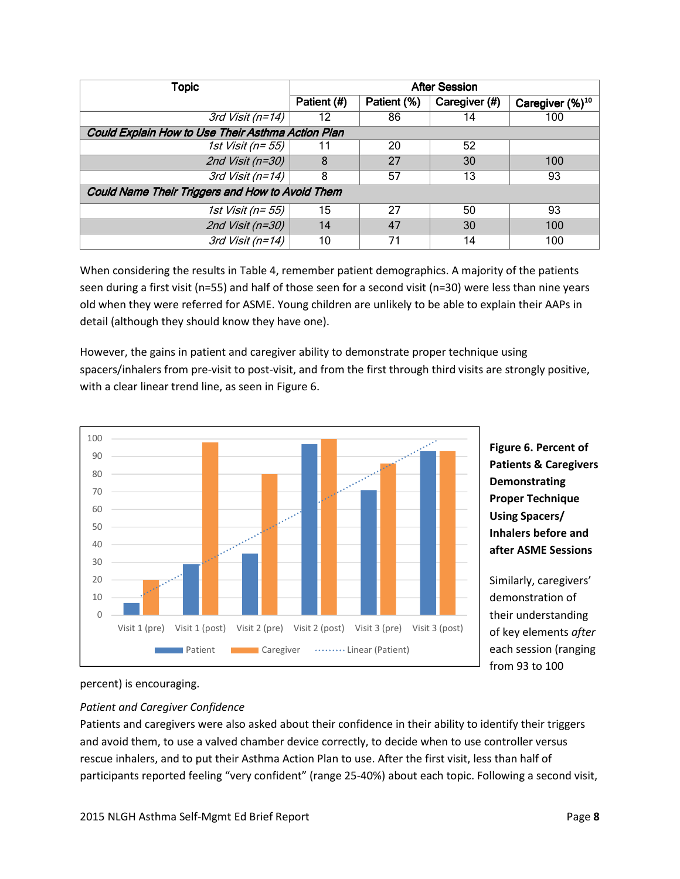| Topic                                                  | <b>After Session</b> |             |               |                             |
|--------------------------------------------------------|----------------------|-------------|---------------|-----------------------------|
|                                                        | Patient (#)          | Patient (%) | Caregiver (#) | Caregiver (%) <sup>10</sup> |
| 3rd Visit (n=14)                                       | 12                   | 86          | 14            | 100                         |
| Could Explain How to Use Their Asthma Action Plan      |                      |             |               |                             |
| 1st Visit (n= 55)                                      |                      | 20          | 52            |                             |
| 2nd Visit (n=30)                                       | 8                    | 27          | 30            | 100                         |
| 3rd Visit (n=14)                                       | 8                    | 57          | 13            | 93                          |
| <b>Could Name Their Triggers and How to Avoid Them</b> |                      |             |               |                             |
| 1st Visit (n= 55)                                      | 15                   | 27          | 50            | 93                          |
| 2nd Visit (n=30)                                       | 14                   | 47          | 30            | 100                         |
| 3rd Visit (n=14)                                       | 10                   | 71          | 14            | 100                         |

When considering the results in Table 4, remember patient demographics. A majority of the patients seen during a first visit (n=55) and half of those seen for a second visit (n=30) were less than nine years old when they were referred for ASME. Young children are unlikely to be able to explain their AAPs in detail (although they should know they have one).

However, the gains in patient and caregiver ability to demonstrate proper technique using spacers/inhalers from pre-visit to post-visit, and from the first through third visits are strongly positive, with a clear linear trend line, as seen in Figure 6.



**Figure 6. Percent of Patients & Caregivers Demonstrating Proper Technique Using Spacers/ Inhalers before and after ASME Sessions** 

Similarly, caregivers' demonstration of their understanding of key elements *after* each session (ranging from 93 to 100

#### percent) is encouraging.

# *Patient and Caregiver Confidence*

Patients and caregivers were also asked about their confidence in their ability to identify their triggers and avoid them, to use a valved chamber device correctly, to decide when to use controller versus rescue inhalers, and to put their Asthma Action Plan to use. After the first visit, less than half of participants reported feeling "very confident" (range 25-40%) about each topic. Following a second visit,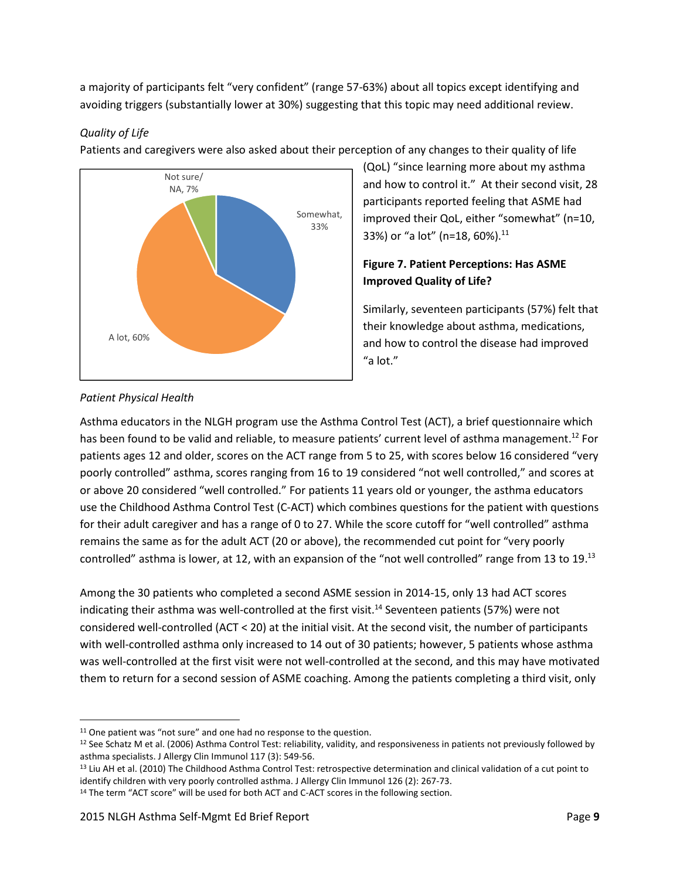a majority of participants felt "very confident" (range 57-63%) about all topics except identifying and avoiding triggers (substantially lower at 30%) suggesting that this topic may need additional review.

#### *Quality of Life*

Patients and caregivers were also asked about their perception of any changes to their quality of life



(QoL) "since learning more about my asthma and how to control it." At their second visit, 28 participants reported feeling that ASME had improved their QoL, either "somewhat" (n=10, 33%) or "a lot" (n=18, 60%). $^{11}$ 

# **Figure 7. Patient Perceptions: Has ASME Improved Quality of Life?**

Similarly, seventeen participants (57%) felt that their knowledge about asthma, medications, and how to control the disease had improved "a lot."

# *Patient Physical Health*

 $\overline{\phantom{0}}$ 

Asthma educators in the NLGH program use the Asthma Control Test (ACT), a brief questionnaire which has been found to be valid and reliable, to measure patients' current level of asthma management.<sup>12</sup> For patients ages 12 and older, scores on the ACT range from 5 to 25, with scores below 16 considered "very poorly controlled" asthma, scores ranging from 16 to 19 considered "not well controlled," and scores at or above 20 considered "well controlled." For patients 11 years old or younger, the asthma educators use the Childhood Asthma Control Test (C-ACT) which combines questions for the patient with questions for their adult caregiver and has a range of 0 to 27. While the score cutoff for "well controlled" asthma remains the same as for the adult ACT (20 or above), the recommended cut point for "very poorly controlled" asthma is lower, at 12, with an expansion of the "not well controlled" range from 13 to 19.<sup>13</sup>

Among the 30 patients who completed a second ASME session in 2014-15, only 13 had ACT scores indicating their asthma was well-controlled at the first visit.<sup>14</sup> Seventeen patients (57%) were not considered well-controlled (ACT < 20) at the initial visit. At the second visit, the number of participants with well-controlled asthma only increased to 14 out of 30 patients; however, 5 patients whose asthma was well-controlled at the first visit were not well-controlled at the second, and this may have motivated them to return for a second session of ASME coaching. Among the patients completing a third visit, only

<sup>&</sup>lt;sup>11</sup> One patient was "not sure" and one had no response to the question.

<sup>&</sup>lt;sup>12</sup> See Schatz M et al. (2006) Asthma Control Test: reliability, validity, and responsiveness in patients not previously followed by asthma specialists. J Allergy Clin Immunol 117 (3): 549-56.

<sup>&</sup>lt;sup>13</sup> Liu AH et al. (2010) The Childhood Asthma Control Test: retrospective determination and clinical validation of a cut point to identify children with very poorly controlled asthma. J Allergy Clin Immunol 126 (2): 267-73.

<sup>&</sup>lt;sup>14</sup> The term "ACT score" will be used for both ACT and C-ACT scores in the following section.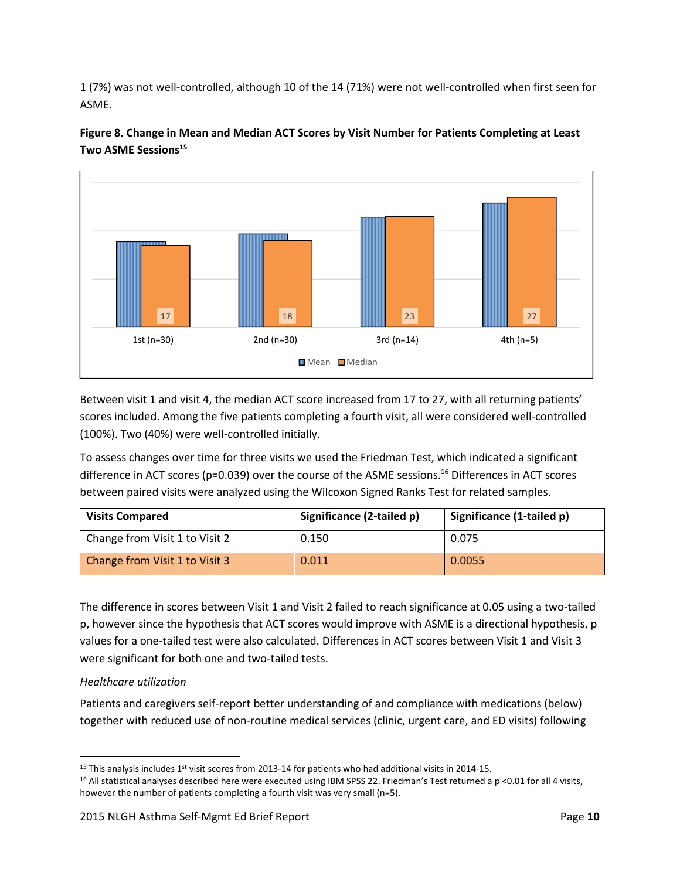1 (7%) was not well-controlled, although 10 of the 14 (71%) were not well-controlled when first seen for ASME.



**Figure 8. Change in Mean and Median ACT Scores by Visit Number for Patients Completing at Least Two ASME Sessions<sup>15</sup>** 

Between visit 1 and visit 4, the median ACT score increased from 17 to 27, with all returning patients' scores included. Among the five patients completing a fourth visit, all were considered well-controlled (100%). Two (40%) were well-controlled initially.

To assess changes over time for three visits we used the Friedman Test, which indicated a significant difference in ACT scores (p=0.039) over the course of the ASME sessions.<sup>16</sup> Differences in ACT scores between paired visits were analyzed using the Wilcoxon Signed Ranks Test for related samples.

| <b>Visits Compared</b>         | Significance (2-tailed p) | Significance (1-tailed p) |
|--------------------------------|---------------------------|---------------------------|
| Change from Visit 1 to Visit 2 | 0.150                     | 0.075                     |
| Change from Visit 1 to Visit 3 | 0.011                     | 0.0055                    |

The difference in scores between Visit 1 and Visit 2 failed to reach significance at 0.05 using a two-tailed p, however since the hypothesis that ACT scores would improve with ASME is a directional hypothesis, p values for a one-tailed test were also calculated. Differences in ACT scores between Visit 1 and Visit 3 were significant for both one and two-tailed tests.

# *Healthcare utilization*

<u>.</u>

Patients and caregivers self-report better understanding of and compliance with medications (below) together with reduced use of non-routine medical services (clinic, urgent care, and ED visits) following

<sup>&</sup>lt;sup>15</sup> This analysis includes  $1<sup>st</sup>$  visit scores from 2013-14 for patients who had additional visits in 2014-15.

 $16$  All statistical analyses described here were executed using IBM SPSS 22. Friedman's Test returned a p <0.01 for all 4 visits, however the number of patients completing a fourth visit was very small (n=5).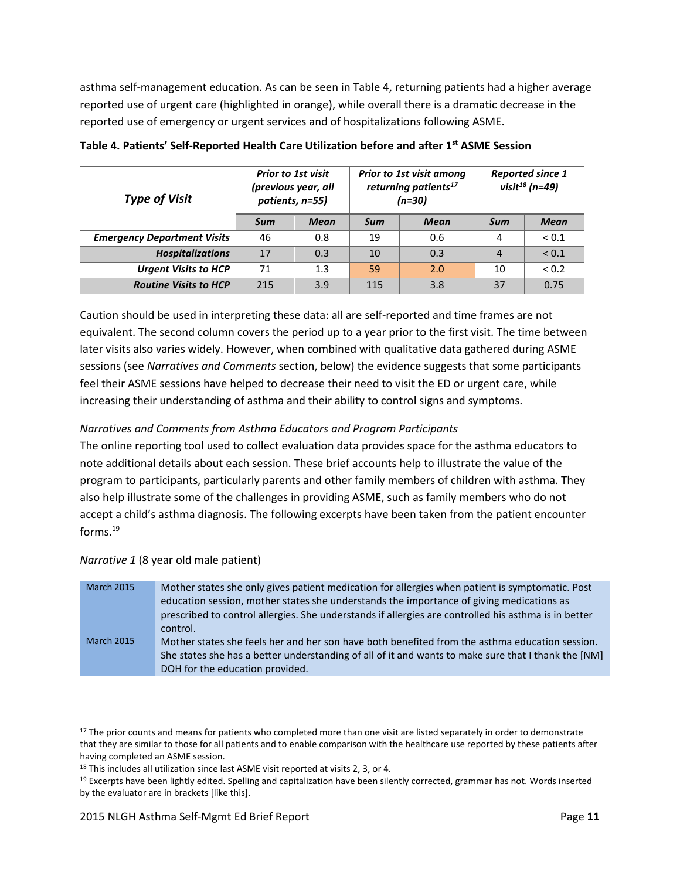asthma self-management education. As can be seen in Table 4, returning patients had a higher average reported use of urgent care (highlighted in orange), while overall there is a dramatic decrease in the reported use of emergency or urgent services and of hospitalizations following ASME.

| <b>Prior to 1st visit</b><br>(previous year, all<br><b>Type of Visit</b><br>patients, n=55) |     |             |     | <b>Prior to 1st visit among</b><br>returning patients <sup>17</sup><br>$(n=30)$ | <b>Reported since 1</b><br>visit $^{18}$ (n=49) |             |
|---------------------------------------------------------------------------------------------|-----|-------------|-----|---------------------------------------------------------------------------------|-------------------------------------------------|-------------|
|                                                                                             | Sum | <b>Mean</b> | Sum | Mean                                                                            | Sum                                             | <b>Mean</b> |
| <b>Emergency Department Visits</b>                                                          | 46  | 0.8         | 19  | 0.6                                                                             | 4                                               | ${}_{0.1}$  |
| <b>Hospitalizations</b>                                                                     | 17  | 0.3         | 10  | 0.3                                                                             | $\overline{4}$                                  | ${}_{0.1}$  |
| <b>Urgent Visits to HCP</b>                                                                 | 71  | 1.3         | 59  | 2.0                                                                             | 10                                              | ${}_{0.2}$  |
| <b>Routine Visits to HCP</b>                                                                | 215 | 3.9         | 115 | 3.8                                                                             | 37                                              | 0.75        |

**Table 4. Patients' Self-Reported Health Care Utilization before and after 1st ASME Session** 

Caution should be used in interpreting these data: all are self-reported and time frames are not equivalent. The second column covers the period up to a year prior to the first visit. The time between later visits also varies widely. However, when combined with qualitative data gathered during ASME sessions (see *Narratives and Comments* section, below) the evidence suggests that some participants feel their ASME sessions have helped to decrease their need to visit the ED or urgent care, while increasing their understanding of asthma and their ability to control signs and symptoms.

# *Narratives and Comments from Asthma Educators and Program Participants*

The online reporting tool used to collect evaluation data provides space for the asthma educators to note additional details about each session. These brief accounts help to illustrate the value of the program to participants, particularly parents and other family members of children with asthma. They also help illustrate some of the challenges in providing ASME, such as family members who do not accept a child's asthma diagnosis. The following excerpts have been taken from the patient encounter forms.<sup>19</sup>

#### *Narrative 1* (8 year old male patient)

.<br>-

| <b>March 2015</b> | Mother states she only gives patient medication for allergies when patient is symptomatic. Post<br>education session, mother states she understands the importance of giving medications as<br>prescribed to control allergies. She understands if allergies are controlled his asthma is in better<br>control. |
|-------------------|-----------------------------------------------------------------------------------------------------------------------------------------------------------------------------------------------------------------------------------------------------------------------------------------------------------------|
| <b>March 2015</b> | Mother states she feels her and her son have both benefited from the asthma education session.<br>She states she has a better understanding of all of it and wants to make sure that I thank the [NM]<br>DOH for the education provided.                                                                        |

<sup>&</sup>lt;sup>17</sup> The prior counts and means for patients who completed more than one visit are listed separately in order to demonstrate that they are similar to those for all patients and to enable comparison with the healthcare use reported by these patients after having completed an ASME session.

<sup>&</sup>lt;sup>18</sup> This includes all utilization since last ASME visit reported at visits 2, 3, or 4.

<sup>&</sup>lt;sup>19</sup> Excerpts have been lightly edited. Spelling and capitalization have been silently corrected, grammar has not. Words inserted by the evaluator are in brackets [like this].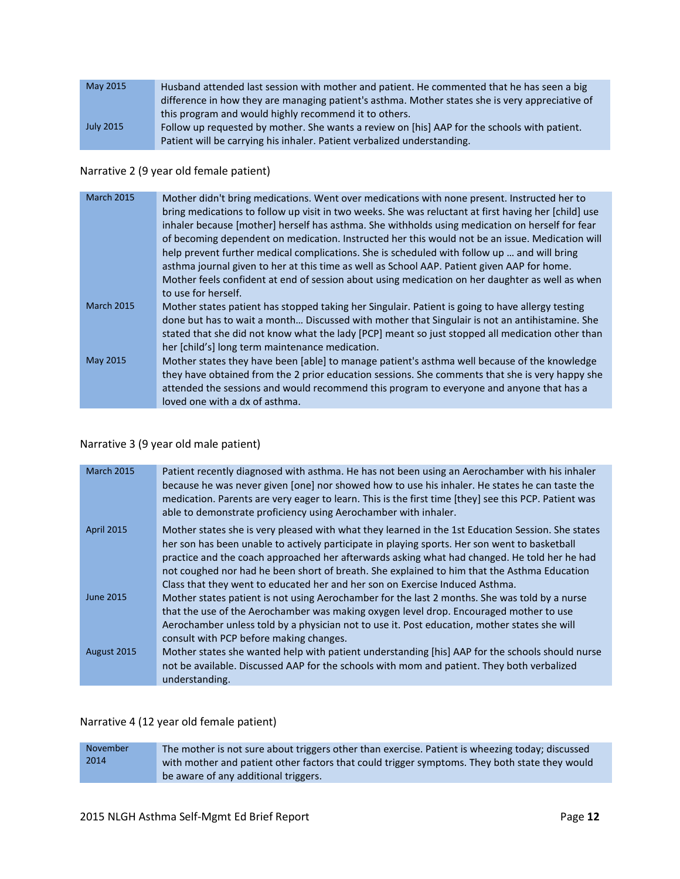| May 2015         | Husband attended last session with mother and patient. He commented that he has seen a big      |
|------------------|-------------------------------------------------------------------------------------------------|
|                  | difference in how they are managing patient's asthma. Mother states she is very appreciative of |
|                  | this program and would highly recommend it to others.                                           |
| <b>July 2015</b> | Follow up requested by mother. She wants a review on [his] AAP for the schools with patient.    |
|                  | Patient will be carrying his inhaler. Patient verbalized understanding.                         |

#### Narrative 2 (9 year old female patient)

| <b>March 2015</b> | Mother didn't bring medications. Went over medications with none present. Instructed her to<br>bring medications to follow up visit in two weeks. She was reluctant at first having her [child] use<br>inhaler because [mother] herself has asthma. She withholds using medication on herself for fear<br>of becoming dependent on medication. Instructed her this would not be an issue. Medication will<br>help prevent further medical complications. She is scheduled with follow up  and will bring<br>asthma journal given to her at this time as well as School AAP. Patient given AAP for home.<br>Mother feels confident at end of session about using medication on her daughter as well as when |
|-------------------|------------------------------------------------------------------------------------------------------------------------------------------------------------------------------------------------------------------------------------------------------------------------------------------------------------------------------------------------------------------------------------------------------------------------------------------------------------------------------------------------------------------------------------------------------------------------------------------------------------------------------------------------------------------------------------------------------------|
| <b>March 2015</b> | to use for herself.<br>Mother states patient has stopped taking her Singulair. Patient is going to have allergy testing<br>done but has to wait a month Discussed with mother that Singulair is not an antihistamine. She                                                                                                                                                                                                                                                                                                                                                                                                                                                                                  |
| May 2015          | stated that she did not know what the lady [PCP] meant so just stopped all medication other than<br>her [child's] long term maintenance medication.<br>Mother states they have been [able] to manage patient's asthma well because of the knowledge                                                                                                                                                                                                                                                                                                                                                                                                                                                        |
|                   | they have obtained from the 2 prior education sessions. She comments that she is very happy she<br>attended the sessions and would recommend this program to everyone and anyone that has a<br>loved one with a dx of asthma.                                                                                                                                                                                                                                                                                                                                                                                                                                                                              |

#### Narrative 3 (9 year old male patient)

| <b>March 2015</b> | Patient recently diagnosed with asthma. He has not been using an Aerochamber with his inhaler<br>because he was never given [one] nor showed how to use his inhaler. He states he can taste the<br>medication. Parents are very eager to learn. This is the first time [they] see this PCP. Patient was<br>able to demonstrate proficiency using Aerochamber with inhaler.                                                                                                        |
|-------------------|-----------------------------------------------------------------------------------------------------------------------------------------------------------------------------------------------------------------------------------------------------------------------------------------------------------------------------------------------------------------------------------------------------------------------------------------------------------------------------------|
| <b>April 2015</b> | Mother states she is very pleased with what they learned in the 1st Education Session. She states<br>her son has been unable to actively participate in playing sports. Her son went to basketball<br>practice and the coach approached her afterwards asking what had changed. He told her he had<br>not coughed nor had he been short of breath. She explained to him that the Asthma Education<br>Class that they went to educated her and her son on Exercise Induced Asthma. |
| June 2015         | Mother states patient is not using Aerochamber for the last 2 months. She was told by a nurse<br>that the use of the Aerochamber was making oxygen level drop. Encouraged mother to use<br>Aerochamber unless told by a physician not to use it. Post education, mother states she will<br>consult with PCP before making changes.                                                                                                                                                |
| August 2015       | Mother states she wanted help with patient understanding [his] AAP for the schools should nurse<br>not be available. Discussed AAP for the schools with mom and patient. They both verbalized<br>understanding.                                                                                                                                                                                                                                                                   |

#### Narrative 4 (12 year old female patient)

November 2014 The mother is not sure about triggers other than exercise. Patient is wheezing today; discussed with mother and patient other factors that could trigger symptoms. They both state they would be aware of any additional triggers.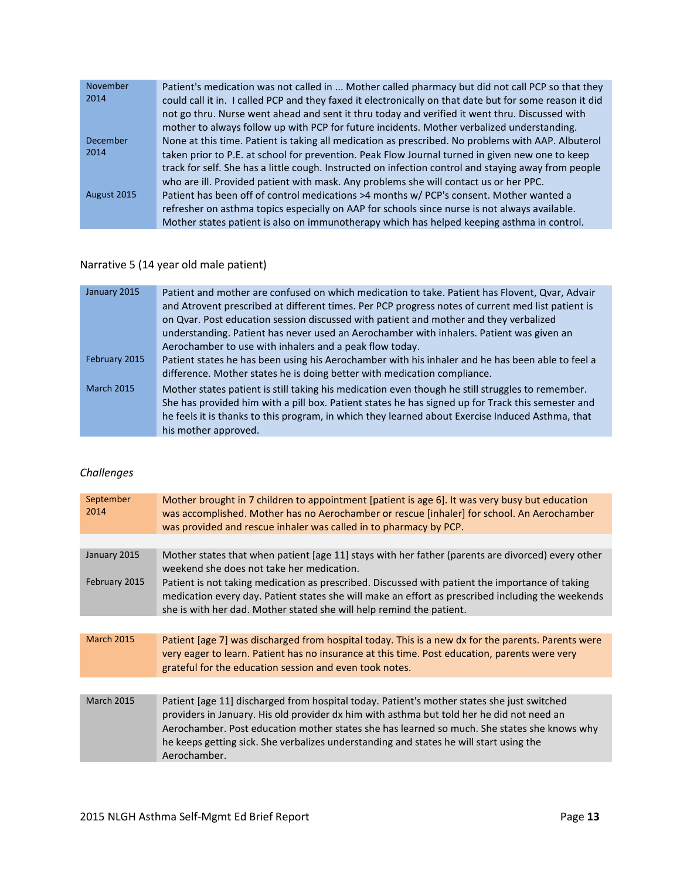| 2014<br>could call it in. I called PCP and they faxed it electronically on that date but for some reason it did<br>not go thru. Nurse went ahead and sent it thru today and verified it went thru. Discussed with<br>mother to always follow up with PCP for future incidents. Mother verbalized understanding. |
|-----------------------------------------------------------------------------------------------------------------------------------------------------------------------------------------------------------------------------------------------------------------------------------------------------------------|
|                                                                                                                                                                                                                                                                                                                 |
|                                                                                                                                                                                                                                                                                                                 |
|                                                                                                                                                                                                                                                                                                                 |
| December<br>None at this time. Patient is taking all medication as prescribed. No problems with AAP. Albuterol                                                                                                                                                                                                  |
| 2014<br>taken prior to P.E. at school for prevention. Peak Flow Journal turned in given new one to keep                                                                                                                                                                                                         |
| track for self. She has a little cough. Instructed on infection control and staying away from people                                                                                                                                                                                                            |
| who are ill. Provided patient with mask. Any problems she will contact us or her PPC.                                                                                                                                                                                                                           |
| August 2015<br>Patient has been off of control medications >4 months w/ PCP's consent. Mother wanted a                                                                                                                                                                                                          |
| refresher on asthma topics especially on AAP for schools since nurse is not always available.                                                                                                                                                                                                                   |
| Mother states patient is also on immunotherapy which has helped keeping asthma in control.                                                                                                                                                                                                                      |

# Narrative 5 (14 year old male patient)

| January 2015      | Patient and mother are confused on which medication to take. Patient has Flovent, Qvar, Advair    |
|-------------------|---------------------------------------------------------------------------------------------------|
|                   | and Atrovent prescribed at different times. Per PCP progress notes of current med list patient is |
|                   | on Qvar. Post education session discussed with patient and mother and they verbalized             |
|                   | understanding. Patient has never used an Aerochamber with inhalers. Patient was given an          |
|                   | Aerochamber to use with inhalers and a peak flow today.                                           |
| February 2015     | Patient states he has been using his Aerochamber with his inhaler and he has been able to feel a  |
|                   | difference. Mother states he is doing better with medication compliance.                          |
| <b>March 2015</b> | Mother states patient is still taking his medication even though he still struggles to remember.  |
|                   | She has provided him with a pill box. Patient states he has signed up for Track this semester and |
|                   | he feels it is thanks to this program, in which they learned about Exercise Induced Asthma, that  |
|                   | his mother approved.                                                                              |

# *Challenges*

| September<br>2014 | Mother brought in 7 children to appointment [patient is age 6]. It was very busy but education<br>was accomplished. Mother has no Aerochamber or rescue [inhaler] for school. An Aerochamber<br>was provided and rescue inhaler was called in to pharmacy by PCP.                                                                                                                                |
|-------------------|--------------------------------------------------------------------------------------------------------------------------------------------------------------------------------------------------------------------------------------------------------------------------------------------------------------------------------------------------------------------------------------------------|
|                   |                                                                                                                                                                                                                                                                                                                                                                                                  |
| January 2015      | Mother states that when patient [age 11] stays with her father (parents are divorced) every other<br>weekend she does not take her medication.                                                                                                                                                                                                                                                   |
| February 2015     | Patient is not taking medication as prescribed. Discussed with patient the importance of taking<br>medication every day. Patient states she will make an effort as prescribed including the weekends<br>she is with her dad. Mother stated she will help remind the patient.                                                                                                                     |
|                   |                                                                                                                                                                                                                                                                                                                                                                                                  |
| <b>March 2015</b> | Patient [age 7] was discharged from hospital today. This is a new dx for the parents. Parents were<br>very eager to learn. Patient has no insurance at this time. Post education, parents were very<br>grateful for the education session and even took notes.                                                                                                                                   |
|                   |                                                                                                                                                                                                                                                                                                                                                                                                  |
| <b>March 2015</b> | Patient [age 11] discharged from hospital today. Patient's mother states she just switched<br>providers in January. His old provider dx him with asthma but told her he did not need an<br>Aerochamber. Post education mother states she has learned so much. She states she knows why<br>he keeps getting sick. She verbalizes understanding and states he will start using the<br>Aerochamber. |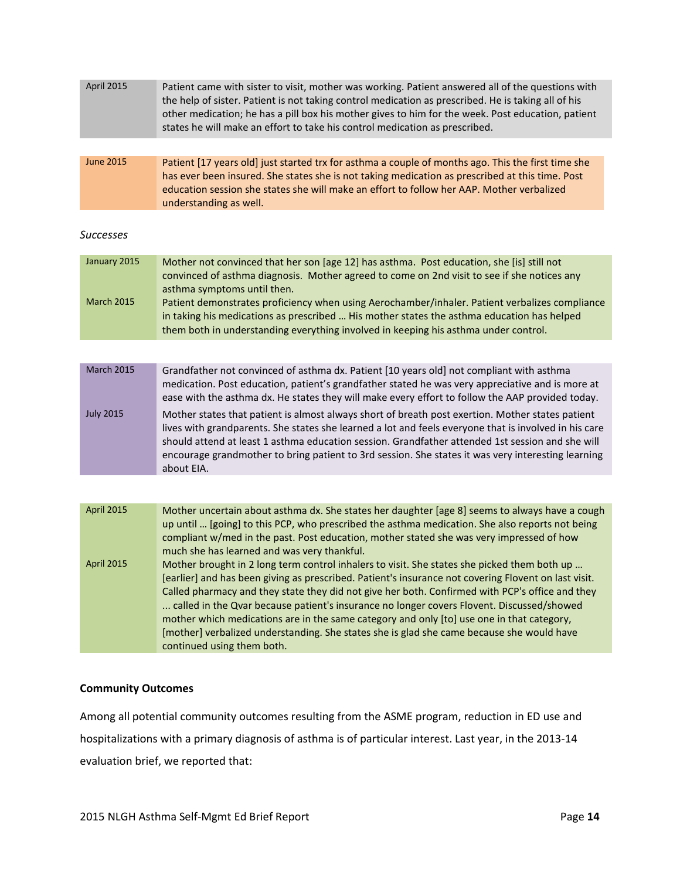| Patient came with sister to visit, mother was working. Patient answered all of the questions with<br>the help of sister. Patient is not taking control medication as prescribed. He is taking all of his<br>other medication; he has a pill box his mother gives to him for the week. Post education, patient                                                                                                                                                                                                                                                                                                               |
|-----------------------------------------------------------------------------------------------------------------------------------------------------------------------------------------------------------------------------------------------------------------------------------------------------------------------------------------------------------------------------------------------------------------------------------------------------------------------------------------------------------------------------------------------------------------------------------------------------------------------------|
| states he will make an effort to take his control medication as prescribed.                                                                                                                                                                                                                                                                                                                                                                                                                                                                                                                                                 |
|                                                                                                                                                                                                                                                                                                                                                                                                                                                                                                                                                                                                                             |
| Patient [17 years old] just started trx for asthma a couple of months ago. This the first time she<br>has ever been insured. She states she is not taking medication as prescribed at this time. Post<br>education session she states she will make an effort to follow her AAP. Mother verbalized<br>understanding as well.                                                                                                                                                                                                                                                                                                |
|                                                                                                                                                                                                                                                                                                                                                                                                                                                                                                                                                                                                                             |
| Mother not convinced that her son [age 12] has asthma. Post education, she [is] still not<br>convinced of asthma diagnosis. Mother agreed to come on 2nd visit to see if she notices any<br>asthma symptoms until then.<br>Patient demonstrates proficiency when using Aerochamber/inhaler. Patient verbalizes compliance<br>in taking his medications as prescribed  His mother states the asthma education has helped<br>them both in understanding everything involved in keeping his asthma under control.                                                                                                              |
|                                                                                                                                                                                                                                                                                                                                                                                                                                                                                                                                                                                                                             |
| Grandfather not convinced of asthma dx. Patient [10 years old] not compliant with asthma<br>medication. Post education, patient's grandfather stated he was very appreciative and is more at<br>ease with the asthma dx. He states they will make every effort to follow the AAP provided today.                                                                                                                                                                                                                                                                                                                            |
| Mother states that patient is almost always short of breath post exertion. Mother states patient<br>lives with grandparents. She states she learned a lot and feels everyone that is involved in his care<br>should attend at least 1 asthma education session. Grandfather attended 1st session and she will<br>encourage grandmother to bring patient to 3rd session. She states it was very interesting learning<br>about EIA.                                                                                                                                                                                           |
|                                                                                                                                                                                                                                                                                                                                                                                                                                                                                                                                                                                                                             |
| Mother uncertain about asthma dx. She states her daughter [age 8] seems to always have a cough<br>up until  [going] to this PCP, who prescribed the asthma medication. She also reports not being<br>compliant w/med in the past. Post education, mother stated she was very impressed of how<br>much she has learned and was very thankful.                                                                                                                                                                                                                                                                                |
| Mother brought in 2 long term control inhalers to visit. She states she picked them both up<br>[earlier] and has been giving as prescribed. Patient's insurance not covering Flovent on last visit.<br>Called pharmacy and they state they did not give her both. Confirmed with PCP's office and they<br>called in the Qvar because patient's insurance no longer covers Flovent. Discussed/showed<br>mother which medications are in the same category and only [to] use one in that category,<br>[mother] verbalized understanding. She states she is glad she came because she would have<br>continued using them both. |
|                                                                                                                                                                                                                                                                                                                                                                                                                                                                                                                                                                                                                             |

#### **Community Outcomes**

Among all potential community outcomes resulting from the ASME program, reduction in ED use and hospitalizations with a primary diagnosis of asthma is of particular interest. Last year, in the 2013-14 evaluation brief, we reported that: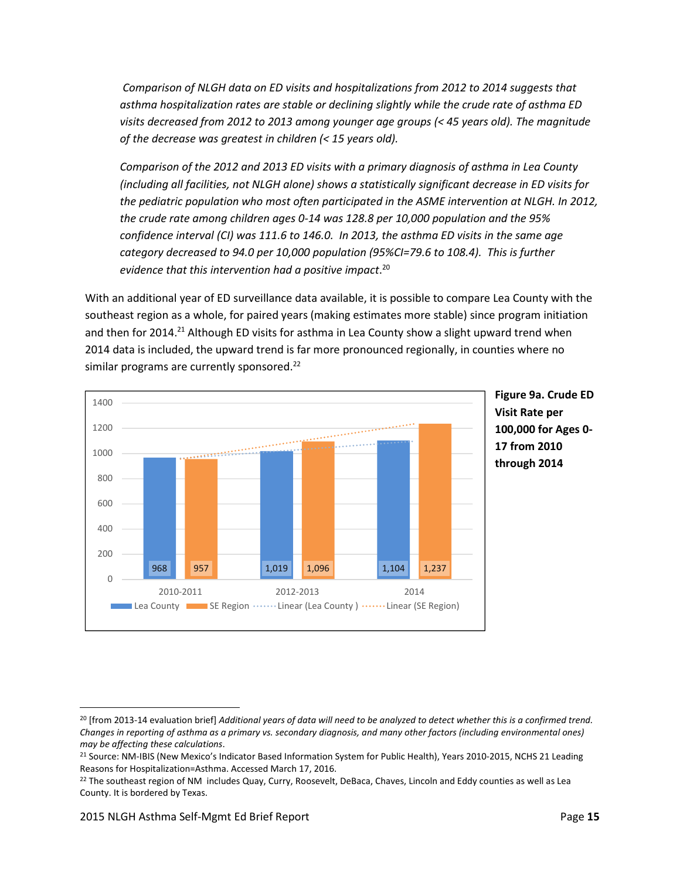*Comparison of NLGH data on ED visits and hospitalizations from 2012 to 2014 suggests that asthma hospitalization rates are stable or declining slightly while the crude rate of asthma ED visits decreased from 2012 to 2013 among younger age groups (< 45 years old). The magnitude of the decrease was greatest in children (< 15 years old).* 

*Comparison of the 2012 and 2013 ED visits with a primary diagnosis of asthma in Lea County (including all facilities, not NLGH alone) shows a statistically significant decrease in ED visits for the pediatric population who most often participated in the ASME intervention at NLGH. In 2012, the crude rate among children ages 0-14 was 128.8 per 10,000 population and the 95% confidence interval (CI) was 111.6 to 146.0. In 2013, the asthma ED visits in the same age category decreased to 94.0 per 10,000 population (95%CI=79.6 to 108.4). This is further evidence that this intervention had a positive impact*. 20

With an additional year of ED surveillance data available, it is possible to compare Lea County with the southeast region as a whole, for paired years (making estimates more stable) since program initiation and then for 2014.<sup>21</sup> Although ED visits for asthma in Lea County show a slight upward trend when 2014 data is included, the upward trend is far more pronounced regionally, in counties where no similar programs are currently sponsored.<sup>22</sup>



 $\overline{a}$ 

<sup>20</sup> [from 2013-14 evaluation brief] *Additional years of data will need to be analyzed to detect whether this is a confirmed trend. Changes in reporting of asthma as a primary vs. secondary diagnosis, and many other factors (including environmental ones) may be affecting these calculations*.

<sup>&</sup>lt;sup>21</sup> Source: NM-IBIS (New Mexico's Indicator Based Information System for Public Health), Years 2010-2015, NCHS 21 Leading Reasons for Hospitalization=Asthma. Accessed March 17, 2016.

<sup>&</sup>lt;sup>22</sup> The southeast region of NM includes Quay, Curry, Roosevelt, DeBaca, Chaves, Lincoln and Eddy counties as well as Lea County. It is bordered by Texas.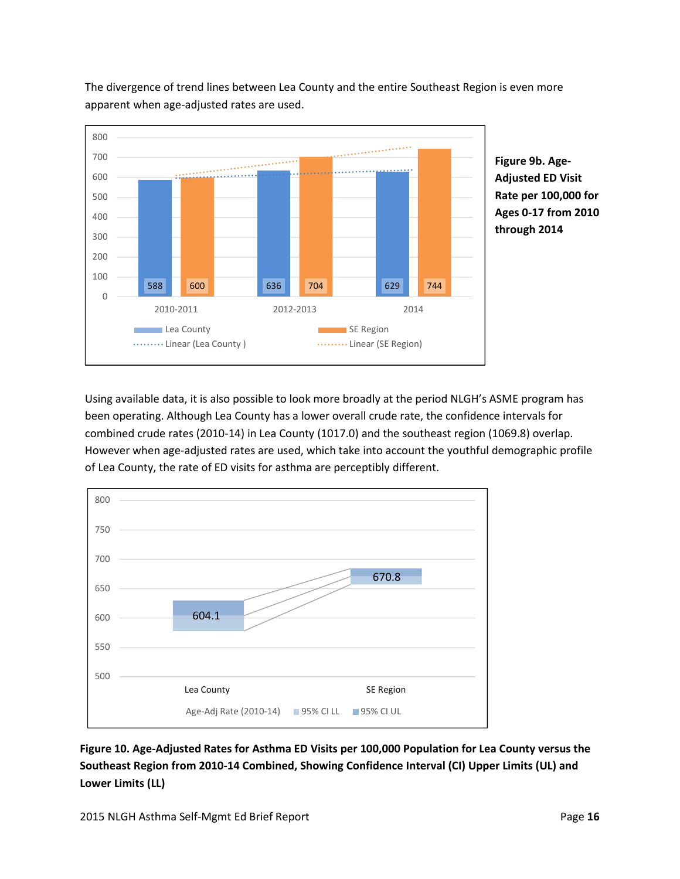

The divergence of trend lines between Lea County and the entire Southeast Region is even more apparent when age-adjusted rates are used.

> **Adjusted ED Visit Rate per 100,000 for Ages 0-17 from 2010 through 2014**

Using available data, it is also possible to look more broadly at the period NLGH's ASME program has been operating. Although Lea County has a lower overall crude rate, the confidence intervals for combined crude rates (2010-14) in Lea County (1017.0) and the southeast region (1069.8) overlap. However when age-adjusted rates are used, which take into account the youthful demographic profile of Lea County, the rate of ED visits for asthma are perceptibly different.



**Figure 10. Age-Adjusted Rates for Asthma ED Visits per 100,000 Population for Lea County versus the Southeast Region from 2010-14 Combined, Showing Confidence Interval (CI) Upper Limits (UL) and Lower Limits (LL)**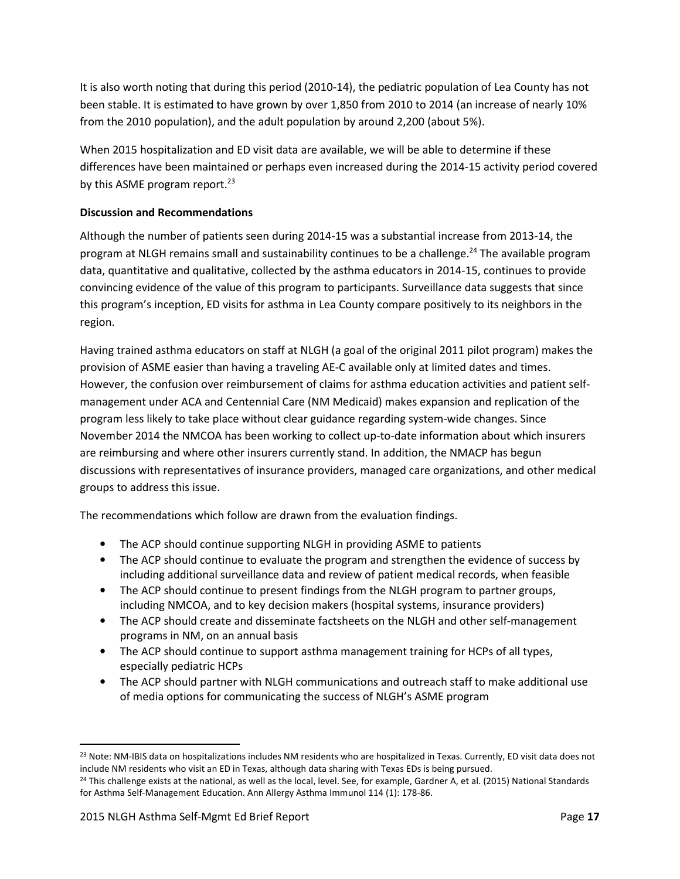It is also worth noting that during this period (2010-14), the pediatric population of Lea County has not been stable. It is estimated to have grown by over 1,850 from 2010 to 2014 (an increase of nearly 10% from the 2010 population), and the adult population by around 2,200 (about 5%).

When 2015 hospitalization and ED visit data are available, we will be able to determine if these differences have been maintained or perhaps even increased during the 2014-15 activity period covered by this ASME program report.<sup>23</sup>

# **Discussion and Recommendations**

Although the number of patients seen during 2014-15 was a substantial increase from 2013-14, the program at NLGH remains small and sustainability continues to be a challenge.<sup>24</sup> The available program data, quantitative and qualitative, collected by the asthma educators in 2014-15, continues to provide convincing evidence of the value of this program to participants. Surveillance data suggests that since this program's inception, ED visits for asthma in Lea County compare positively to its neighbors in the region.

Having trained asthma educators on staff at NLGH (a goal of the original 2011 pilot program) makes the provision of ASME easier than having a traveling AE-C available only at limited dates and times. However, the confusion over reimbursement of claims for asthma education activities and patient selfmanagement under ACA and Centennial Care (NM Medicaid) makes expansion and replication of the program less likely to take place without clear guidance regarding system-wide changes. Since November 2014 the NMCOA has been working to collect up-to-date information about which insurers are reimbursing and where other insurers currently stand. In addition, the NMACP has begun discussions with representatives of insurance providers, managed care organizations, and other medical groups to address this issue.

The recommendations which follow are drawn from the evaluation findings.

- The ACP should continue supporting NLGH in providing ASME to patients
- The ACP should continue to evaluate the program and strengthen the evidence of success by including additional surveillance data and review of patient medical records, when feasible
- The ACP should continue to present findings from the NLGH program to partner groups, including NMCOA, and to key decision makers (hospital systems, insurance providers)
- The ACP should create and disseminate factsheets on the NLGH and other self-management programs in NM, on an annual basis
- The ACP should continue to support asthma management training for HCPs of all types, especially pediatric HCPs
- The ACP should partner with NLGH communications and outreach staff to make additional use of media options for communicating the success of NLGH's ASME program

<u>.</u>

<sup>&</sup>lt;sup>23</sup> Note: NM-IBIS data on hospitalizations includes NM residents who are hospitalized in Texas. Currently, ED visit data does not include NM residents who visit an ED in Texas, although data sharing with Texas EDs is being pursued.

<sup>&</sup>lt;sup>24</sup> This challenge exists at the national, as well as the local, level. See, for example, Gardner A, et al. (2015) National Standards for Asthma Self-Management Education. Ann Allergy Asthma Immunol 114 (1): 178-86.